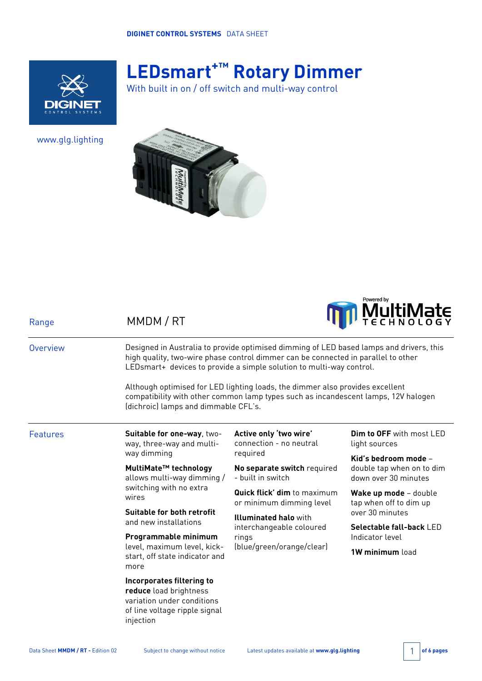

# **LEDsmart+™ Rotary Dimmer**

With built in on / off switch and multi-way control

www.glg.lighting

Range MMDM / RT





| Overview | Designed in Australia to provide optimised dimming of LED based lamps and drivers, this<br>high quality, two-wire phase control dimmer can be connected in parallel to other<br>LEDsmart+ devices to provide a simple solution to multi-way control.<br>Although optimised for LED lighting loads, the dimmer also provides excellent<br>compatibility with other common lamp types such as incandescent lamps, 12V halogen<br>(dichroic) lamps and dimmable CFL's. |                                                                                                |                                                                           |  |  |
|----------|---------------------------------------------------------------------------------------------------------------------------------------------------------------------------------------------------------------------------------------------------------------------------------------------------------------------------------------------------------------------------------------------------------------------------------------------------------------------|------------------------------------------------------------------------------------------------|---------------------------------------------------------------------------|--|--|
|          |                                                                                                                                                                                                                                                                                                                                                                                                                                                                     |                                                                                                |                                                                           |  |  |
| Features | Suitable for one-way, two-<br>way, three-way and multi-                                                                                                                                                                                                                                                                                                                                                                                                             | Active only 'two wire'<br>connection - no neutral<br>required                                  | <b>Dim to OFF</b> with most LED<br>light sources                          |  |  |
|          | way dimming                                                                                                                                                                                                                                                                                                                                                                                                                                                         |                                                                                                | Kid's bedroom mode -<br>double tap when on to dim<br>down over 30 minutes |  |  |
|          | MultiMate™ technology<br>allows multi-way dimming /<br>switching with no extra<br>wires                                                                                                                                                                                                                                                                                                                                                                             | No separate switch required<br>- built in switch                                               |                                                                           |  |  |
|          |                                                                                                                                                                                                                                                                                                                                                                                                                                                                     | <b>Quick flick' dim</b> to maximum<br>or minimum dimming level                                 | Wake up mode - double<br>tap when off to dim up<br>over 30 minutes        |  |  |
|          | Suitable for both retrofit                                                                                                                                                                                                                                                                                                                                                                                                                                          | <b>Illuminated halo</b> with<br>interchangeable coloured<br>rings<br>(blue/green/orange/clear) |                                                                           |  |  |
|          | and new installations<br>Programmable minimum                                                                                                                                                                                                                                                                                                                                                                                                                       |                                                                                                | <b>Selectable fall-back LED</b><br>Indicator level                        |  |  |
|          | level, maximum level, kick-<br>start, off state indicator and<br>more                                                                                                                                                                                                                                                                                                                                                                                               |                                                                                                | 1W minimum load                                                           |  |  |
|          | Incorporates filtering to<br>reduce load brightness<br>variation under conditions<br>of line voltage ripple signal<br>injection                                                                                                                                                                                                                                                                                                                                     |                                                                                                |                                                                           |  |  |

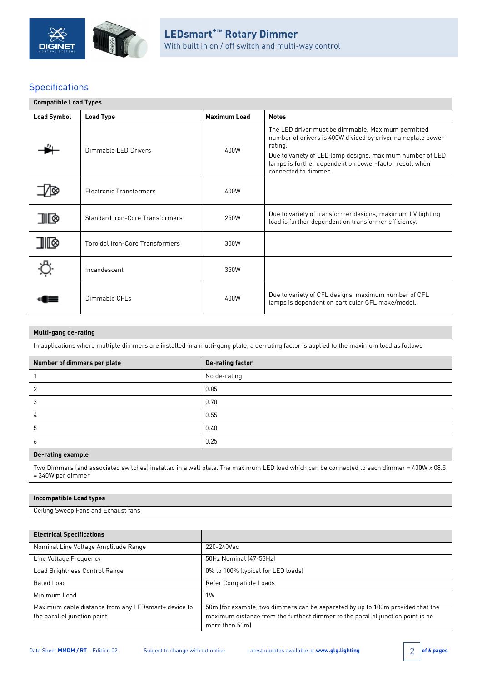

# Specifications

| <b>Compatible Load Types</b> |                                        |                     |                                                                                                                                                                                                                                                                             |  |  |
|------------------------------|----------------------------------------|---------------------|-----------------------------------------------------------------------------------------------------------------------------------------------------------------------------------------------------------------------------------------------------------------------------|--|--|
| <b>Load Symbol</b>           | <b>Load Type</b>                       | <b>Maximum Load</b> | <b>Notes</b>                                                                                                                                                                                                                                                                |  |  |
|                              | Dimmable LED Drivers                   | 400W                | The LED driver must be dimmable. Maximum permitted<br>number of drivers is 400W divided by driver nameplate power<br>rating.<br>Due to variety of LED lamp designs, maximum number of LED<br>lamps is further dependent on power-factor result when<br>connected to dimmer. |  |  |
|                              | <b>Electronic Transformers</b>         | 400W                |                                                                                                                                                                                                                                                                             |  |  |
| 9 III                        | <b>Standard Iron-Core Transformers</b> | 250W                | Due to variety of transformer designs, maximum LV lighting<br>load is further dependent on transformer efficiency.                                                                                                                                                          |  |  |
| ⊪                            | Toroidal Iron-Core Transformers        | 300W                |                                                                                                                                                                                                                                                                             |  |  |
|                              | Incandescent                           | 350W                |                                                                                                                                                                                                                                                                             |  |  |
|                              | Dimmable CFLs                          | 400W                | Due to variety of CFL designs, maximum number of CFL<br>lamps is dependent on particular CFL make/model.                                                                                                                                                                    |  |  |

### **Multi-gang de-rating**

In applications where multiple dimmers are installed in a multi-gang plate, a de-rating factor is applied to the maximum load as follows

| Number of dimmers per plate | <b>De-rating factor</b> |
|-----------------------------|-------------------------|
|                             | No de-rating            |
|                             | 0.85                    |
| ◠                           | 0.70                    |
|                             | 0.55                    |
| b                           | 0.40                    |
| <sub>o</sub>                | 0.25                    |

### **De-rating example**

Two Dimmers (and associated switches) installed in a wall plate. The maximum LED load which can be connected to each dimmer = 400W x 08.5 = 340W per dimmer

### **Incompatible Load types**

Ceiling Sweep Fans and Exhaust fans

| <b>Electrical Specifications</b>                                                   |                                                                                                                                                                                    |
|------------------------------------------------------------------------------------|------------------------------------------------------------------------------------------------------------------------------------------------------------------------------------|
| Nominal Line Voltage Amplitude Range                                               | 220-240Vac                                                                                                                                                                         |
| Line Voltage Frequency                                                             | 50Hz Nominal (47-53Hz)                                                                                                                                                             |
| Load Brightness Control Range                                                      | 0% to 100% (typical for LED loads)                                                                                                                                                 |
| Rated Load                                                                         | Refer Compatible Loads                                                                                                                                                             |
| Minimum Load                                                                       | 1W                                                                                                                                                                                 |
| Maximum cable distance from any LEDsmart+ device to<br>the parallel junction point | 50m (for example, two dimmers can be separated by up to 100m provided that the<br>maximum distance from the furthest dimmer to the parallel junction point is no<br>more than 50ml |

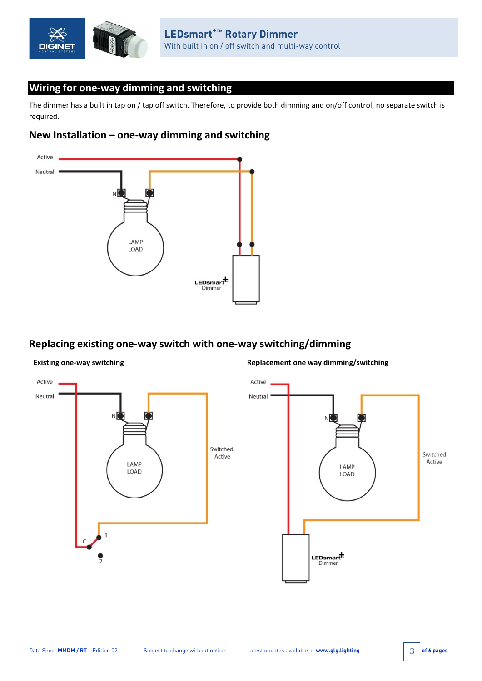

## **Wiring for one-way dimming and switching**

The dimmer has a built in tap on / tap off switch. Therefore, to provide both dimming and on/off control, no separate switch is required.

# **New Installation – one-way dimming and switching**



# **Replacing existing one-way switch with one-way switching/dimming**



**Existing one-way switching the state of the state of the Replacement one way dimming/switching**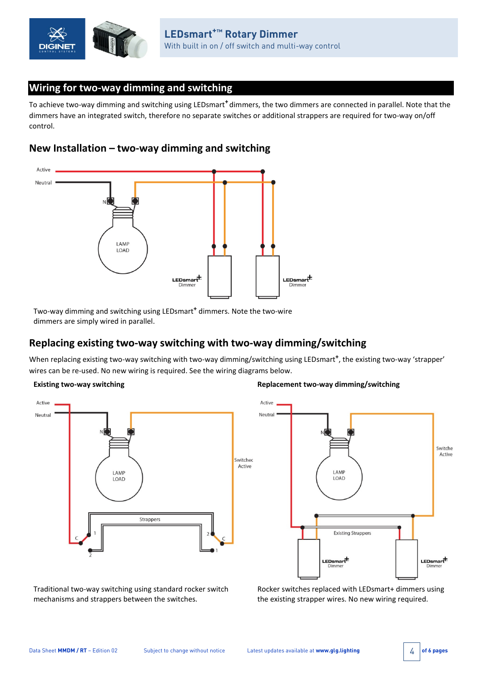

# **Wiring for two-way dimming and switching**

To achieve two-way dimming and switching using LEDsmart**<sup>+</sup>** dimmers, the two dimmers are connected in parallel. Note that the dimmers have an integrated switch, therefore no separate switches or additional strappers are required for two-way on/off control.

### **New Installation – two-way dimming and switching**



Two-way dimming and switching using LEDsmart**<sup>+</sup>** dimmers. Note the two-wire dimmers are simply wired in parallel.

# **Replacing existing two-way switching with two-way dimming/switching**

When replacing existing two-way switching with two-way dimming/switching using LEDsmart**+**, the existing two-way 'strapper' wires can be re-used. No new wiring is required. See the wiring diagrams below.



### **Existing two-way switching the state of the state of two-way dimming/switching**



Traditional two-way switching using standard rocker switch mechanisms and strappers between the switches.

Rocker switches replaced with LEDsmart+ dimmers using the existing strapper wires. No new wiring required.

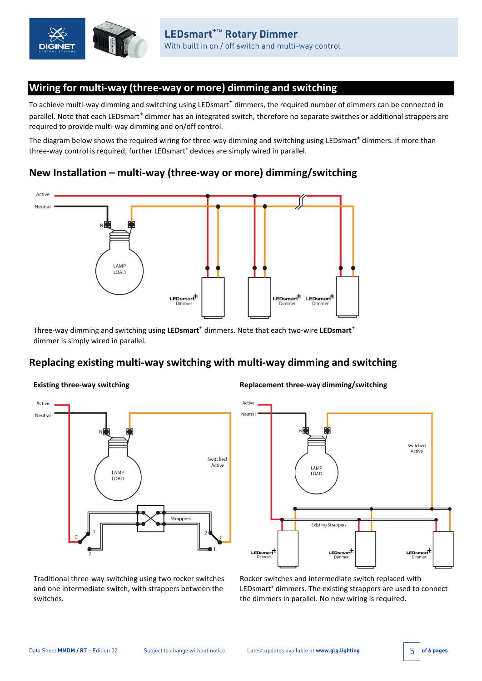

# **Wiring for multi-way (three-way or more) dimming and switching**

To achieve multi-way dimming and switching using LEDsmart**<sup>+</sup>** dimmers, the required number of dimmers can be connected in parallel. Note that each LEDsmart**<sup>+</sup>** dimmer has an integrated switch, therefore no separate switches or additional strappers are required to provide multi-way dimming and on/off control.

The diagram below shows the required wiring for three-way dimming and switching using LEDsmart**<sup>+</sup>** dimmers. If more than three-way control is required, further LEDsmart<sup>+</sup> devices are simply wired in parallel.

# **New Installation – multi-way (three-way or more) dimming/switching**



Three-way dimming and switching using LEDsmart<sup>+</sup> dimmers. Note that each two-wire LEDsmart<sup>+</sup> dimmer is simply wired in parallel.

# **Replacing existing multi-way switching with multi-way dimming and switching**



**Existing three-way switching Replacement three-way dimming/switching**



Traditional three-way switching using two rocker switches and one intermediate switch, with strappers between the switches.

Rocker switches and intermediate switch replaced with LEDsmart<sup>+</sup> dimmers. The existing strappers are used to connect the dimmers in parallel. No new wiring is required.